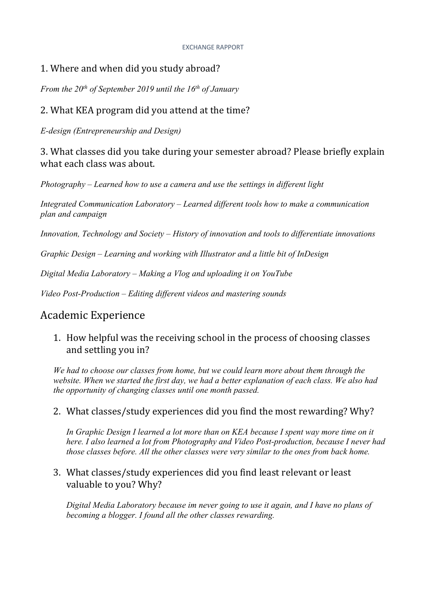#### EXCHANGE RAPPORT

### 1. Where and when did you study abroad?

*From the 20<sup>th</sup> of September 2019 until the 16<sup>th</sup> of January* 

### 2. What KEA program did you attend at the time?

*E-design (Entrepreneurship and Design)*

3. What classes did you take during your semester abroad? Please briefly explain what each class was about.

*Photography – Learned how to use a camera and use the settings in different light*

*Integrated Communication Laboratory – Learned different tools how to make a communication plan and campaign*

*Innovation, Technology and Society – History of innovation and tools to differentiate innovations*

*Graphic Design – Learning and working with Illustrator and a little bit of InDesign*

*Digital Media Laboratory – Making a Vlog and uploading it on YouTube*

*Video Post-Production – Editing different videos and mastering sounds*

### Academic Experience

1. How helpful was the receiving school in the process of choosing classes and settling you in?

*We had to choose our classes from home, but we could learn more about them through the website. When we started the first day, we had a better explanation of each class. We also had the opportunity of changing classes until one month passed.*

### 2. What classes/study experiences did you find the most rewarding? Why?

*In Graphic Design I learned a lot more than on KEA because I spent way more time on it here. I also learned a lot from Photography and Video Post-production, because I never had those classes before. All the other classes were very similar to the ones from back home.*

### 3. What classes/study experiences did you find least relevant or least valuable to you? Why?

*Digital Media Laboratory because im never going to use it again, and I have no plans of becoming a blogger. I found all the other classes rewarding.*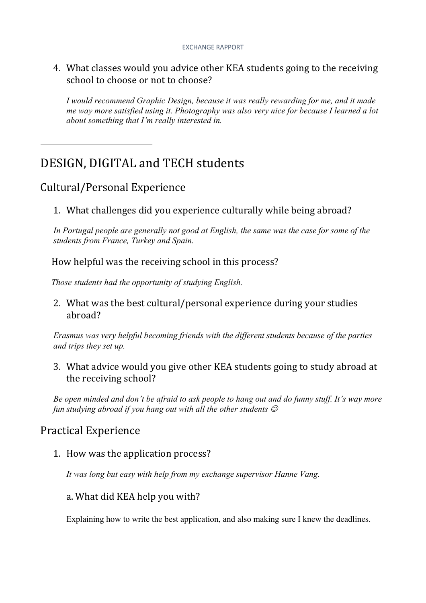#### EXCHANGE RAPPORT

4. What classes would you advice other KEA students going to the receiving school to choose or not to choose?

*I would recommend Graphic Design, because it was really rewarding for me, and it made me way more satisfied using it. Photography was also very nice for because I learned a lot about something that I'm really interested in.*

# DESIGN, DIGITAL and TECH students

## Cultural/Personal Experience

1. What challenges did you experience culturally while being abroad?

*In Portugal people are generally not good at English, the same was the case for some of the students from France, Turkey and Spain.*

How helpful was the receiving school in this process?

 *Those students had the opportunity of studying English.*

2. What was the best cultural/personal experience during your studies abroad?

*Erasmus was very helpful becoming friends with the different students because of the parties and trips they set up.*

3. What advice would you give other KEA students going to study abroad at the receiving school?

*Be open minded and don't be afraid to ask people to hang out and do funny stuff. It's way more fun studying abroad if you hang out with all the other students*  $\mathcal{O}$ 

## Practical Experience

1. How was the application process?

*It was long but easy with help from my exchange supervisor Hanne Vang.*

### a. What did KEA help you with?

Explaining how to write the best application, and also making sure I knew the deadlines.